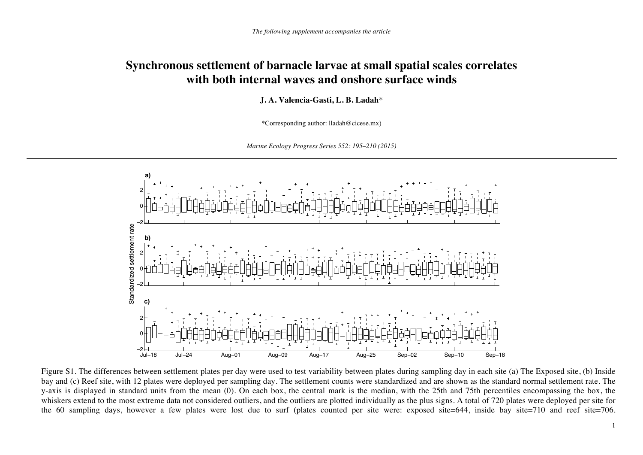## **Synchronous settlement of barnacle larvae at small spatial scales correlates with both internal waves and onshore surface winds**

**J. A. Valencia-Gasti, L. B. Ladah**\*

\*Corresponding author: lladah@cicese.mx)

*Marine Ecology Progress Series 552: 195–210 (2015)*



Figure S1. The differences between settlement plates per day were used to test variability between plates during sampling day in each site (a) The Exposed site, (b) Inside bay and (c) Reef site, with 12 plates were deployed per sampling day. The settlement counts were standardized and are shown as the standard normal settlement rate. The y-axis is displayed in standard units from the mean (0). On each box, the central mark is the median, with the 25th and 75th percentiles encompassing the box, the whiskers extend to the most extreme data not considered outliers, and the outliers are plotted individually as the plus signs. A total of 720 plates were deployed per site for the 60 sampling days, however a few plates were lost due to surf (plates counted per site were: exposed site=644, inside bay site=710 and reef site=706.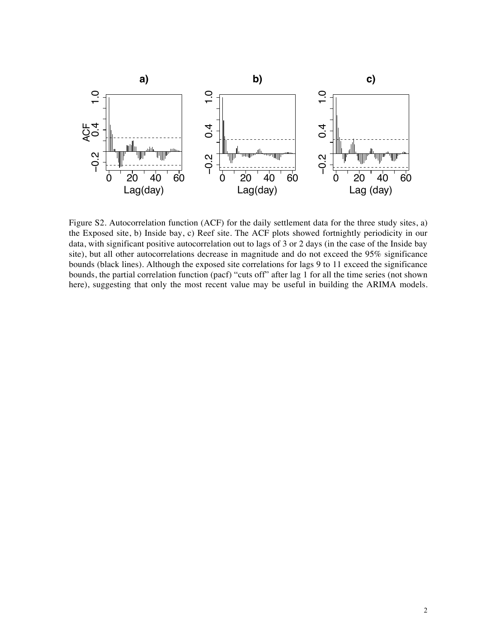

Figure S2. Autocorrelation function (ACF) for the daily settlement data for the three study sites, a) the Exposed site, b) Inside bay, c) Reef site. The ACF plots showed fortnightly periodicity in our data, with significant positive autocorrelation out to lags of 3 or 2 days (in the case of the Inside bay site), but all other autocorrelations decrease in magnitude and do not exceed the 95% significance bounds (black lines). Although the exposed site correlations for lags 9 to 11 exceed the significance bounds, the partial correlation function (pacf) "cuts off" after lag 1 for all the time series (not shown here), suggesting that only the most recent value may be useful in building the ARIMA models.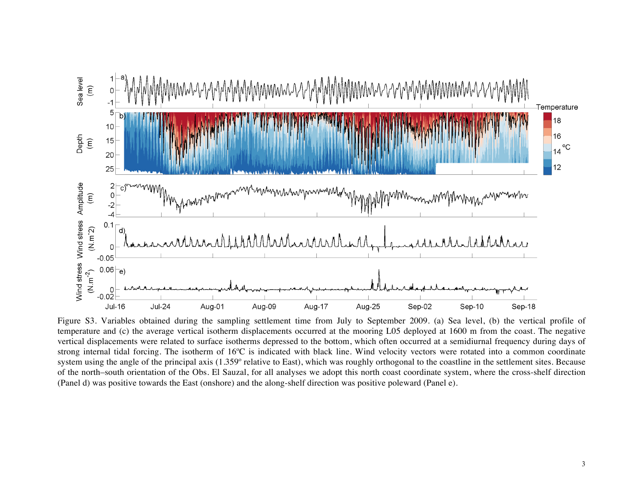

Figure S3. Variables obtained during the sampling settlement time from July to September 2009. (a) Sea level, (b) the vertical profile of temperature and (c) the average vertical isotherm displacements occurred at the mooring L05 deployed at 1600 m from the coast. The negative vertical displacements were related to surface isotherms depressed to the bottom, which often occurred at a semidiurnal frequency during days of strong internal tidal forcing. The isotherm of 16ºC is indicated with black line. Wind velocity vectors were rotated into a common coordinate system using the angle of the principal axis (1.359º relative to East), which was roughly orthogonal to the coastline in the settlement sites. Because of the north–south orientation of the Obs. El Sauzal, for all analyses we adopt this north coast coordinate system, where the cross-shelf direction (Panel d) was positive towards the East (onshore) and the along-shelf direction was positive poleward (Panel e).